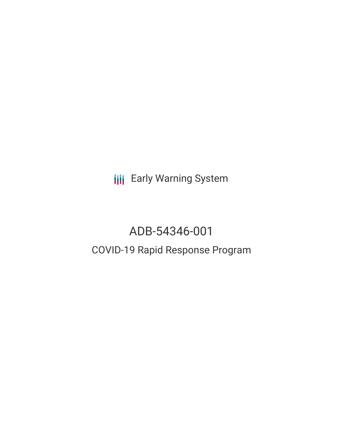**III** Early Warning System

# ADB-54346-001 COVID-19 Rapid Response Program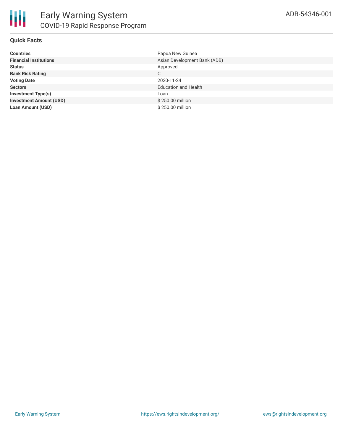

## **Quick Facts**

| <b>Countries</b>               | Papua New Guinea             |
|--------------------------------|------------------------------|
| <b>Financial Institutions</b>  | Asian Development Bank (ADB) |
| <b>Status</b>                  | Approved                     |
| <b>Bank Risk Rating</b>        | C                            |
| <b>Voting Date</b>             | 2020-11-24                   |
| <b>Sectors</b>                 | <b>Education and Health</b>  |
| <b>Investment Type(s)</b>      | Loan                         |
| <b>Investment Amount (USD)</b> | \$250.00 million             |
| <b>Loan Amount (USD)</b>       | \$250.00 million             |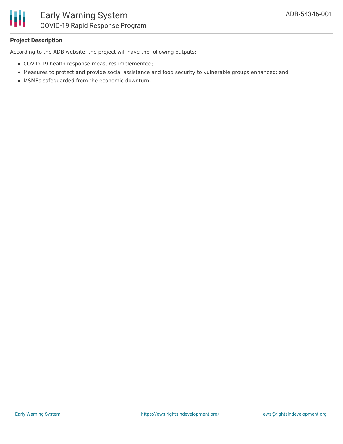

## **Project Description**

According to the ADB website, the project will have the following outputs:

- COVID-19 health response measures implemented;
- Measures to protect and provide social assistance and food security to vulnerable groups enhanced; and
- MSMEs safeguarded from the economic downturn.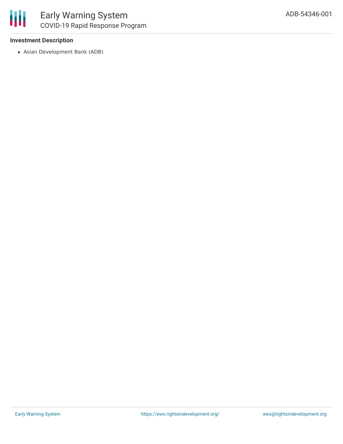## **Investment Description**

Asian Development Bank (ADB)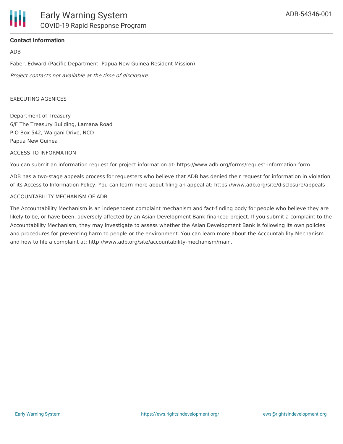## **Contact Information**

### ADB

Faber, Edward (Pacific Department, Papua New Guinea Resident Mission)

Project contacts not available at the time of disclosure.

### EXECUTING AGENICES

Department of Treasury 6/F The Treasury Building, Lamana Road P.O Box 542, Waigani Drive, NCD Papua New Guinea

#### ACCESS TO INFORMATION

You can submit an information request for project information at: https://www.adb.org/forms/request-information-form

ADB has a two-stage appeals process for requesters who believe that ADB has denied their request for information in violation of its Access to Information Policy. You can learn more about filing an appeal at: https://www.adb.org/site/disclosure/appeals

#### ACCOUNTABILITY MECHANISM OF ADB

The Accountability Mechanism is an independent complaint mechanism and fact-finding body for people who believe they are likely to be, or have been, adversely affected by an Asian Development Bank-financed project. If you submit a complaint to the Accountability Mechanism, they may investigate to assess whether the Asian Development Bank is following its own policies and procedures for preventing harm to people or the environment. You can learn more about the Accountability Mechanism and how to file a complaint at: http://www.adb.org/site/accountability-mechanism/main.